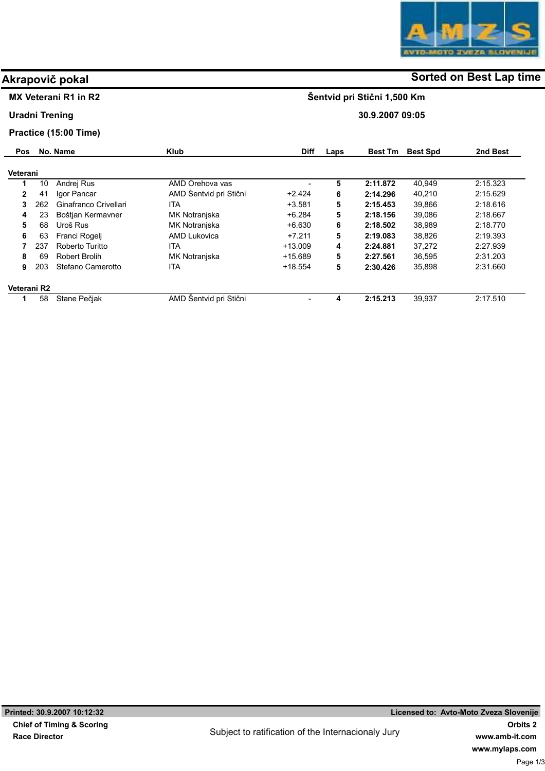

## MX Veterani R1 in R2

#### Uradni Trening

#### Practice (15:00 Time)

| <b>Pos</b>   |     | No. Name              | <b>Klub</b>            | <b>Diff</b> | Laps | <b>Best Tm</b> | <b>Best Spd</b> | 2nd Best |
|--------------|-----|-----------------------|------------------------|-------------|------|----------------|-----------------|----------|
| Veterani     |     |                       |                        |             |      |                |                 |          |
| 1            | 10  | Andrej Rus            | AMD Orehova vas        |             | 5    | 2:11.872       | 40.949          | 2.15.323 |
| $\mathbf{2}$ | 41  | Igor Pancar           | AMD Šentvid pri Stični | $+2.424$    | 6    | 2:14.296       | 40.210          | 2.15.629 |
| 3            | 262 | Ginafranco Crivellari | ITA                    | $+3.581$    | 5    | 2:15.453       | 39.866          | 2.18.616 |
| 4            | 23  | Boštjan Kermavner     | MK Notranjska          | $+6.284$    | 5    | 2:18.156       | 39.086          | 2.18.667 |
| 5            | 68  | Uroš Rus              | MK Notranjska          | $+6.630$    | 6    | 2:18.502       | 38.989          | 2:18.770 |
| 6            | 63  | Franci Rogeli         | AMD Lukovica           | $+7.211$    | 5    | 2:19.083       | 38.826          | 2:19.393 |
|              | 237 | Roberto Turitto       | ITA.                   | $+13.009$   | 4    | 2:24.881       | 37,272          | 2.27.939 |
| 8            | 69  | <b>Robert Brolih</b>  | MK Notranjska          | $+15.689$   | 5    | 2:27.561       | 36,595          | 2:31.203 |
| 9            | 203 | Stefano Camerotto     | ita                    | $+18.554$   | 5    | 2:30.426       | 35.898          | 2:31.660 |
| Veterani R2  |     |                       |                        |             |      |                |                 |          |
|              | 58  | Stane Pečjak          | AMD Šentvid pri Stični | -           | 4    | 2:15.213       | 39,937          | 2:17.510 |

# Akrapovič pokal and some of the solution of the Sorted on Best Lap time

Šentvid pri Stični 1,500 Km

30.9.2007 09:05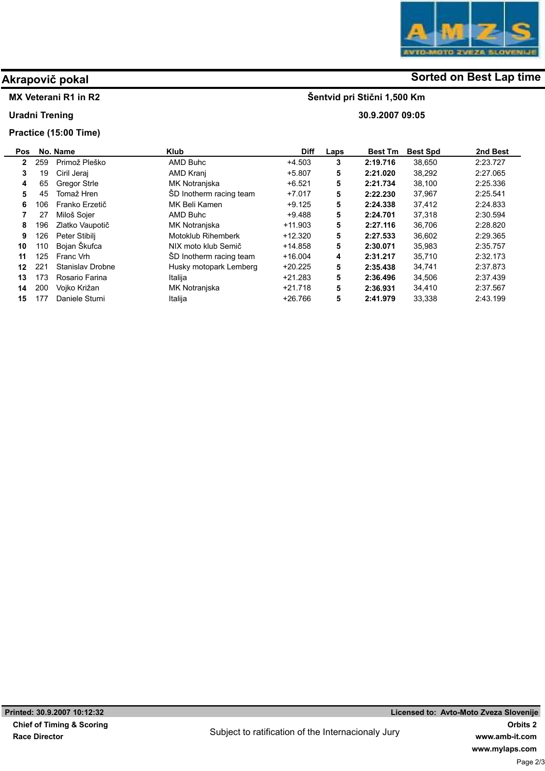

# Akrapovič pokal and some of the solution of the Sorted on Best Lap time

Šentvid pri Stični 1,500 Km

30.9.2007 09:05

#### MX Veterani R1 in R2

Uradni Trening

### Practice (15:00 Time)

| Pos |     | No. Name                | Klub                    | Diff      | Laps | <b>Best Tm</b> | <b>Best Spd</b> | 2nd Best |
|-----|-----|-------------------------|-------------------------|-----------|------|----------------|-----------------|----------|
| 2   | 259 | Primož Pleško           | AMD Buhc                | $+4.503$  | 3    | 2:19.716       | 38.650          | 2:23.727 |
| 3   | 19  | Ciril Jerai             | AMD Kranj               | $+5.807$  | 5    | 2:21.020       | 38.292          | 2:27.065 |
| 4   | 65  | <b>Gregor Strle</b>     | MK Notranjska           | $+6.521$  | 5    | 2:21.734       | 38.100          | 2:25.336 |
| 5   | 45  | Tomaž Hren              | SD Inotherm racing team | $+7.017$  | 5    | 2:22.230       | 37,967          | 2.25.541 |
| 6   | 106 | Franko Erzetič          | MK Beli Kamen           | $+9.125$  | 5    | 2:24.338       | 37.412          | 2:24.833 |
|     | 27  | Miloš Sojer             | AMD Buhc                | $+9.488$  | 5    | 2:24.701       | 37,318          | 2:30.594 |
| 8   | 196 | Zlatko Vaupotič         | MK Notranjska           | $+11.903$ | 5    | 2:27.116       | 36,706          | 2:28.820 |
| 9   | 126 | Peter Stibilj           | Motoklub Rihemberk      | $+12.320$ | 5    | 2:27.533       | 36.602          | 2:29.365 |
| 10  | 110 | Bojan Škufca            | NIX moto klub Semič     | $+14.858$ | 5    | 2:30.071       | 35,983          | 2:35.757 |
| 11  | 125 | Franc Vrh               | SD Inotherm racing team | $+16.004$ | 4    | 2:31.217       | 35.710          | 2:32.173 |
| 12  | 221 | <b>Stanislav Drobne</b> | Husky motopark Lemberg  | $+20.225$ | 5    | 2:35.438       | 34,741          | 2:37.873 |
| 13  | 173 | Rosario Farina          | Italija                 | $+21.283$ | 5    | 2:36.496       | 34,506          | 2:37.439 |
| 14  | 200 | Vojko Križan            | MK Notranjska           | $+21.718$ | 5    | 2:36.931       | 34,410          | 2:37.567 |
| 15  |     | Daniele Sturni          | Italija                 | $+26.766$ | 5    | 2:41.979       | 33,338          | 2:43.199 |